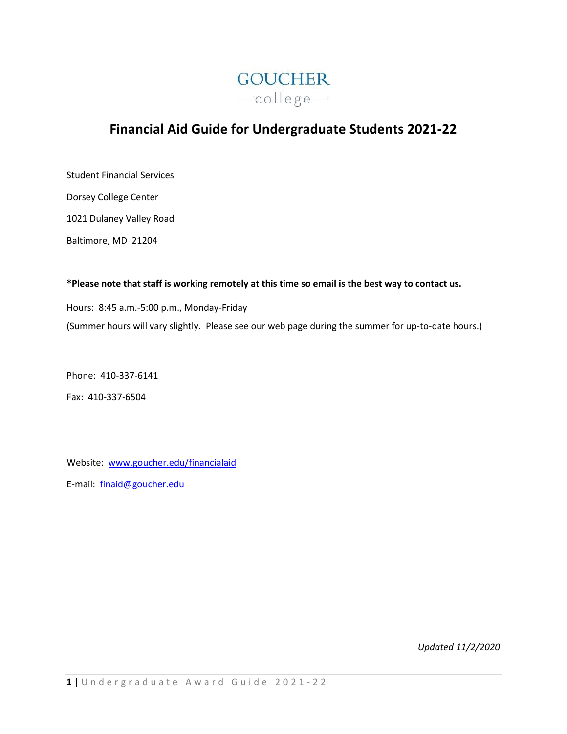

# **Financial Aid Guide for Undergraduate Students 2021-22**

Student Financial Services

Dorsey College Center

1021 Dulaney Valley Road

Baltimore, MD 21204

**\*Please note that staff is working remotely at this time so email is the best way to contact us.**

Hours: 8:45 a.m.-5:00 p.m., Monday-Friday (Summer hours will vary slightly. Please see our web page during the summer for up-to-date hours.)

Phone: 410-337-6141

Fax: 410-337-6504

Website: [www.goucher.edu/financialaid](http://www.goucher.edu/financialaid)

E-mail: [finaid@goucher.edu](mailto:finaid@goucher.edu)

*Updated 11/2/2020*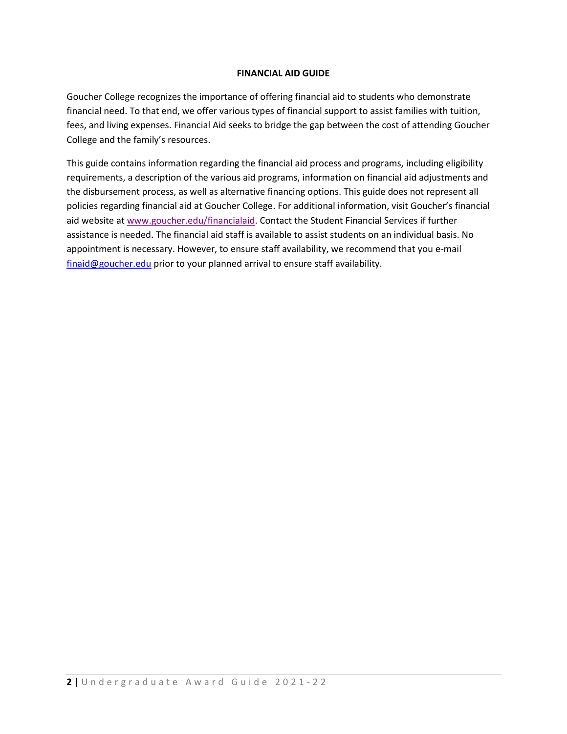## **FINANCIAL AID GUIDE**

Goucher College recognizes the importance of offering financial aid to students who demonstrate financial need. To that end, we offer various types of financial support to assist families with tuition, fees, and living expenses. Financial Aid seeks to bridge the gap between the cost of attending Goucher College and the family's resources.

This guide contains information regarding the financial aid process and programs, including eligibility requirements, a description of the various aid programs, information on financial aid adjustments and the disbursement process, as well as alternative financing options. This guide does not represent all policies regarding financial aid at Goucher College. For additional information, visit Goucher's financial aid website at [www.goucher.edu/financialaid.](http://www.goucher.edu/financialaid) Contact the Student Financial Services if further assistance is needed. The financial aid staff is available to assist students on an individual basis. No appointment is necessary. However, to ensure staff availability, we recommend that you e-mail [finaid@goucher.edu](mailto:finaid@goucher.edu) prior to your planned arrival to ensure staff availability.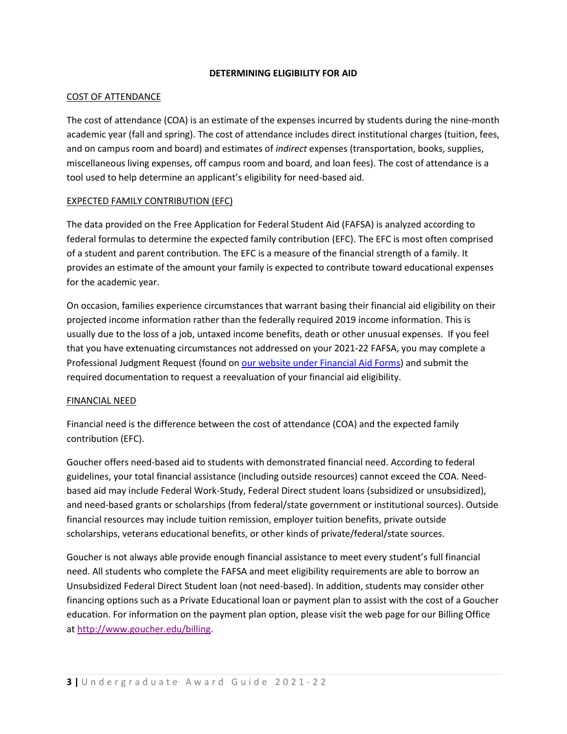## **DETERMINING ELIGIBILITY FOR AID**

## COST OF ATTENDANCE

The cost of attendance (COA) is an estimate of the expenses incurred by students during the nine-month academic year (fall and spring). The cost of attendance includes direct institutional charges (tuition, fees, and on campus room and board) and estimates of *indirect* expenses (transportation, books, supplies, miscellaneous living expenses, off campus room and board, and loan fees). The cost of attendance is a tool used to help determine an applicant's eligibility for need-based aid.

## EXPECTED FAMILY CONTRIBUTION (EFC)

The data provided on the Free Application for Federal Student Aid (FAFSA) is analyzed according to federal formulas to determine the expected family contribution (EFC). The EFC is most often comprised of a student and parent contribution. The EFC is a measure of the financial strength of a family. It provides an estimate of the amount your family is expected to contribute toward educational expenses for the academic year.

On occasion, families experience circumstances that warrant basing their financial aid eligibility on their projected income information rather than the federally required 2019 income information. This is usually due to the loss of a job, untaxed income benefits, death or other unusual expenses. If you feel that you have extenuating circumstances not addressed on your 2021-22 FAFSA, you may complete a Professional Judgment Request (found on [our website under Financial Aid Forms\)](http://www.goucher.edu/financial-aid/forms-and-resources/forms) and submit the required documentation to request a reevaluation of your financial aid eligibility.

## FINANCIAL NEED

Financial need is the difference between the cost of attendance (COA) and the expected family contribution (EFC).

Goucher offers need-based aid to students with demonstrated financial need. According to federal guidelines, your total financial assistance (including outside resources) cannot exceed the COA. Needbased aid may include Federal Work-Study, Federal Direct student loans (subsidized or unsubsidized), and need-based grants or scholarships (from federal/state government or institutional sources). Outside financial resources may include tuition remission, employer tuition benefits, private outside scholarships, veterans educational benefits, or other kinds of private/federal/state sources.

Goucher is not always able provide enough financial assistance to meet every student's full financial need. All students who complete the FAFSA and meet eligibility requirements are able to borrow an Unsubsidized Federal Direct Student loan (not need-based). In addition, students may consider other financing options such as a Private Educational loan or payment plan to assist with the cost of a Goucher education. For information on the payment plan option, please visit the web page for our Billing Office at [http://www.goucher.edu/billing.](http://www.goucher.edu/billing)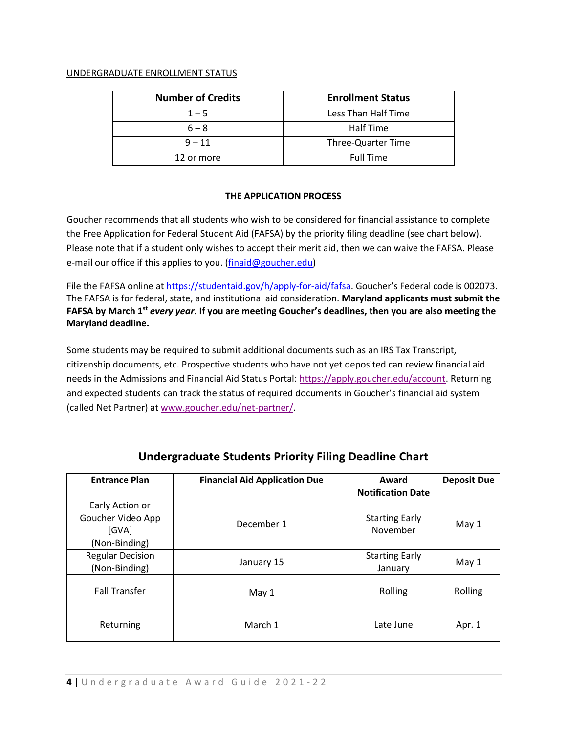## UNDERGRADUATE ENROLLMENT STATUS

| <b>Number of Credits</b> | <b>Enrollment Status</b> |
|--------------------------|--------------------------|
| $1 - 5$                  | Less Than Half Time      |
| $6 - 8$                  | Half Time                |
| $9 - 11$                 | Three-Quarter Time       |
| 12 or more               | <b>Full Time</b>         |

## **THE APPLICATION PROCESS**

Goucher recommends that all students who wish to be considered for financial assistance to complete the Free Application for Federal Student Aid (FAFSA) by the priority filing deadline (see chart below). Please note that if a student only wishes to accept their merit aid, then we can waive the FAFSA. Please e-mail our office if this applies to you. [\(finaid@goucher.edu\)](mailto:finaid@goucher.edu)

File the FAFSA online a[t https://studentaid.gov/h/apply-for-aid/fafsa.](https://studentaid.gov/h/apply-for-aid/fafsa) Goucher's Federal code is 002073. The FAFSA is for federal, state, and institutional aid consideration. **Maryland applicants must submit the FAFSA by March 1st** *every year***. If you are meeting Goucher's deadlines, then you are also meeting the Maryland deadline.**

Some students may be required to submit additional documents such as an IRS Tax Transcript, citizenship documents, etc. Prospective students who have not yet deposited can review financial aid needs in the Admissions and Financial Aid Status Portal: [https://apply.goucher.edu/account.](https://apply.goucher.edu/account) Returning and expected students can track the status of required documents in Goucher's financial aid system (called Net Partner) a[t www.goucher.edu/net-partner/.](http://www.goucher.edu/net-partner/)

| <b>Entrance Plan</b>                                           | <b>Financial Aid Application Due</b> | Award<br><b>Notification Date</b> | <b>Deposit Due</b> |
|----------------------------------------------------------------|--------------------------------------|-----------------------------------|--------------------|
| Early Action or<br>Goucher Video App<br>[GVA]<br>(Non-Binding) | December 1                           | <b>Starting Early</b><br>November | May 1              |
| <b>Regular Decision</b><br>(Non-Binding)                       | January 15                           | <b>Starting Early</b><br>January  | May 1              |
| <b>Fall Transfer</b>                                           | May 1                                | Rolling                           | Rolling            |
| Returning                                                      | March 1                              | Late June                         | Apr. 1             |

## **Undergraduate Students Priority Filing Deadline Chart**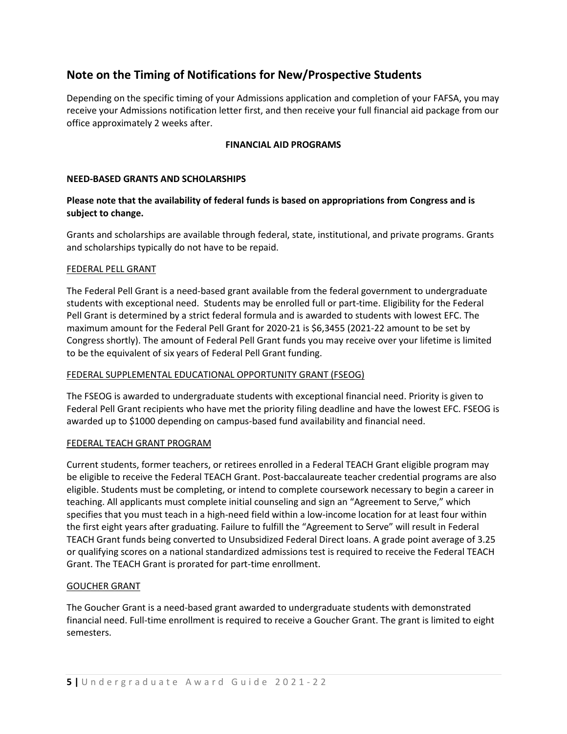## **Note on the Timing of Notifications for New/Prospective Students**

Depending on the specific timing of your Admissions application and completion of your FAFSA, you may receive your Admissions notification letter first, and then receive your full financial aid package from our office approximately 2 weeks after.

## **FINANCIAL AID PROGRAMS**

#### **NEED-BASED GRANTS AND SCHOLARSHIPS**

## **Please note that the availability of federal funds is based on appropriations from Congress and is subject to change.**

Grants and scholarships are available through federal, state, institutional, and private programs. Grants and scholarships typically do not have to be repaid.

#### FEDERAL PELL GRANT

The Federal Pell Grant is a need-based grant available from the federal government to undergraduate students with exceptional need. Students may be enrolled full or part-time. Eligibility for the Federal Pell Grant is determined by a strict federal formula and is awarded to students with lowest EFC. The maximum amount for the Federal Pell Grant for 2020-21 is \$6,3455 (2021-22 amount to be set by Congress shortly). The amount of Federal Pell Grant funds you may receive over your lifetime is limited to be the equivalent of six years of Federal Pell Grant funding.

## FEDERAL SUPPLEMENTAL EDUCATIONAL OPPORTUNITY GRANT (FSEOG)

The FSEOG is awarded to undergraduate students with exceptional financial need. Priority is given to Federal Pell Grant recipients who have met the priority filing deadline and have the lowest EFC. FSEOG is awarded up to \$1000 depending on campus-based fund availability and financial need.

## FEDERAL TEACH GRANT PROGRAM

Current students, former teachers, or retirees enrolled in a Federal TEACH Grant eligible program may be eligible to receive the Federal TEACH Grant. Post-baccalaureate teacher credential programs are also eligible. Students must be completing, or intend to complete coursework necessary to begin a career in teaching. All applicants must complete initial counseling and sign an "Agreement to Serve," which specifies that you must teach in a high-need field within a low-income location for at least four within the first eight years after graduating. Failure to fulfill the "Agreement to Serve" will result in Federal TEACH Grant funds being converted to Unsubsidized Federal Direct loans. A grade point average of 3.25 or qualifying scores on a national standardized admissions test is required to receive the Federal TEACH Grant. The TEACH Grant is prorated for part-time enrollment.

## GOUCHER GRANT

The Goucher Grant is a need-based grant awarded to undergraduate students with demonstrated financial need. Full-time enrollment is required to receive a Goucher Grant. The grant is limited to eight semesters.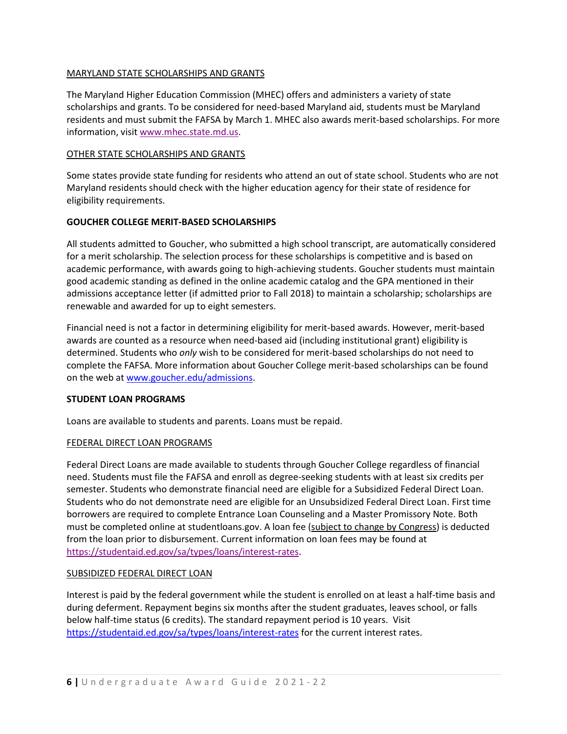## MARYLAND STATE SCHOLARSHIPS AND GRANTS

The Maryland Higher Education Commission (MHEC) offers and administers a variety of state scholarships and grants. To be considered for need-based Maryland aid, students must be Maryland residents and must submit the FAFSA by March 1. MHEC also awards merit-based scholarships. For more information, visit [www.mhec.state.md.us.](http://www.mhec.state.md.us/)

## OTHER STATE SCHOLARSHIPS AND GRANTS

Some states provide state funding for residents who attend an out of state school. Students who are not Maryland residents should check with the higher education agency for their state of residence for eligibility requirements.

## **GOUCHER COLLEGE MERIT-BASED SCHOLARSHIPS**

All students admitted to Goucher, who submitted a high school transcript, are automatically considered for a merit scholarship. The selection process for these scholarships is competitive and is based on academic performance, with awards going to high-achieving students. Goucher students must maintain good academic standing as defined in the online academic catalog and the GPA mentioned in their admissions acceptance letter (if admitted prior to Fall 2018) to maintain a scholarship; scholarships are renewable and awarded for up to eight semesters.

Financial need is not a factor in determining eligibility for merit-based awards. However, merit-based awards are counted as a resource when need-based aid (including institutional grant) eligibility is determined. Students who *only* wish to be considered for merit-based scholarships do not need to complete the FAFSA. More information about Goucher College merit-based scholarships can be found on the web a[t www.goucher.edu/admissions.](http://www.goucher.edu/admissions)

## **STUDENT LOAN PROGRAMS**

Loans are available to students and parents. Loans must be repaid.

## FEDERAL DIRECT LOAN PROGRAMS

Federal Direct Loans are made available to students through Goucher College regardless of financial need. Students must file the FAFSA and enroll as degree-seeking students with at least six credits per semester. Students who demonstrate financial need are eligible for a Subsidized Federal Direct Loan. Students who do not demonstrate need are eligible for an Unsubsidized Federal Direct Loan. First time borrowers are required to complete Entrance Loan Counseling and a Master Promissory Note. Both must be completed online at studentloans.gov. A loan fee (subject to change by Congress) is deducted from the loan prior to disbursement. Current information on loan fees may be found at [https://studentaid.ed.gov/sa/types/loans/interest-rates.](https://studentaid.ed.gov/sa/types/loans/interest-rates)

## SUBSIDIZED FEDERAL DIRECT LOAN

Interest is paid by the federal government while the student is enrolled on at least a half-time basis and during deferment. Repayment begins six months after the student graduates, leaves school, or falls below half-time status (6 credits). The standard repayment period is 10 years. Visit <https://studentaid.ed.gov/sa/types/loans/interest-rates> for the current interest rates.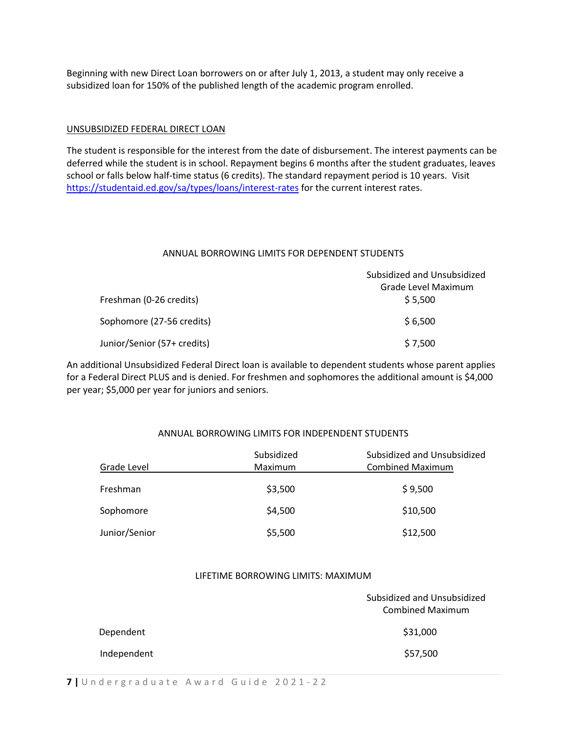Beginning with new Direct Loan borrowers on or after July 1, 2013, a student may only receive a subsidized loan for 150% of the published length of the academic program enrolled.

#### UNSUBSIDIZED FEDERAL DIRECT LOAN

The student is responsible for the interest from the date of disbursement. The interest payments can be deferred while the student is in school. Repayment begins 6 months after the student graduates, leaves school or falls below half-time status (6 credits). The standard repayment period is 10 years. Visit <https://studentaid.ed.gov/sa/types/loans/interest-rates> for the current interest rates.

#### ANNUAL BORROWING LIMITS FOR DEPENDENT STUDENTS

|                             | Subsidized and Unsubsidized |  |
|-----------------------------|-----------------------------|--|
|                             | Grade Level Maximum         |  |
| Freshman (0-26 credits)     | \$5,500                     |  |
| Sophomore (27-56 credits)   | \$6,500                     |  |
| Junior/Senior (57+ credits) | \$7,500                     |  |

An additional Unsubsidized Federal Direct loan is available to dependent students whose parent applies for a Federal Direct PLUS and is denied. For freshmen and sophomores the additional amount is \$4,000 per year; \$5,000 per year for juniors and seniors.

## ANNUAL BORROWING LIMITS FOR INDEPENDENT STUDENTS

| Grade Level   | Subsidized<br>Maximum | Subsidized and Unsubsidized<br><b>Combined Maximum</b> |
|---------------|-----------------------|--------------------------------------------------------|
| Freshman      | \$3,500               | \$9,500                                                |
| Sophomore     | \$4,500               | \$10,500                                               |
| Junior/Senior | \$5,500               | \$12,500                                               |

### LIFETIME BORROWING LIMITS: MAXIMUM

| Subsidized and Unsubsidized<br><b>Combined Maximum</b> |  |
|--------------------------------------------------------|--|
| \$31,000                                               |  |
| \$57,500                                               |  |
|                                                        |  |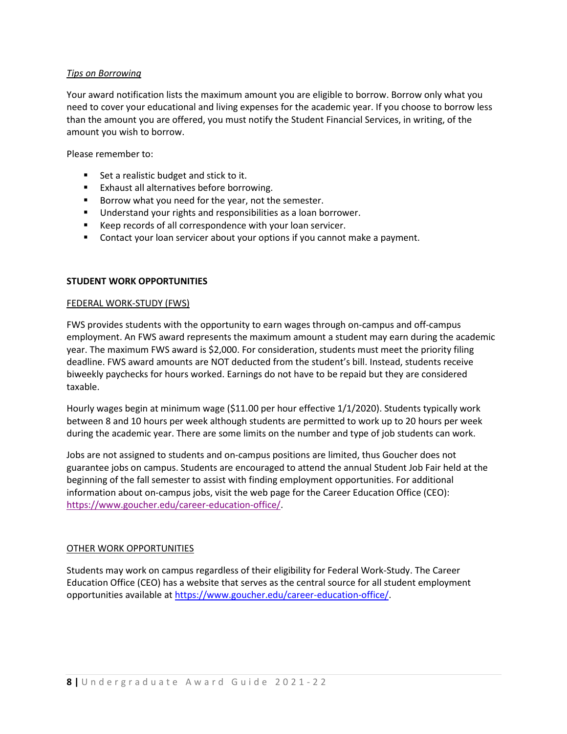## *Tips on Borrowing*

Your award notification lists the maximum amount you are eligible to borrow. Borrow only what you need to cover your educational and living expenses for the academic year. If you choose to borrow less than the amount you are offered, you must notify the Student Financial Services, in writing, of the amount you wish to borrow.

Please remember to:

- Set a realistic budget and stick to it.
- Exhaust all alternatives before borrowing.
- Borrow what you need for the year, not the semester.
- Understand your rights and responsibilities as a loan borrower.
- Keep records of all correspondence with your loan servicer.
- Contact your loan servicer about your options if you cannot make a payment.

#### **STUDENT WORK OPPORTUNITIES**

#### FEDERAL WORK-STUDY (FWS)

FWS provides students with the opportunity to earn wages through on-campus and off-campus employment. An FWS award represents the maximum amount a student may earn during the academic year. The maximum FWS award is \$2,000. For consideration, students must meet the priority filing deadline. FWS award amounts are NOT deducted from the student's bill. Instead, students receive biweekly paychecks for hours worked. Earnings do not have to be repaid but they are considered taxable.

Hourly wages begin at minimum wage (\$11.00 per hour effective 1/1/2020). Students typically work between 8 and 10 hours per week although students are permitted to work up to 20 hours per week during the academic year. There are some limits on the number and type of job students can work.

Jobs are not assigned to students and on-campus positions are limited, thus Goucher does not guarantee jobs on campus. Students are encouraged to attend the annual Student Job Fair held at the beginning of the fall semester to assist with finding employment opportunities. For additional information about on-campus jobs, visit the web page for the Career Education Office (CEO): [https://www.goucher.edu/career-education-office/.](https://www.goucher.edu/career-education-office/)

#### OTHER WORK OPPORTUNITIES

Students may work on campus regardless of their eligibility for Federal Work-Study. The Career Education Office (CEO) has a website that serves as the central source for all student employment opportunities available at [https://www.goucher.edu/career-education-office/.](https://www.goucher.edu/career-education-office/)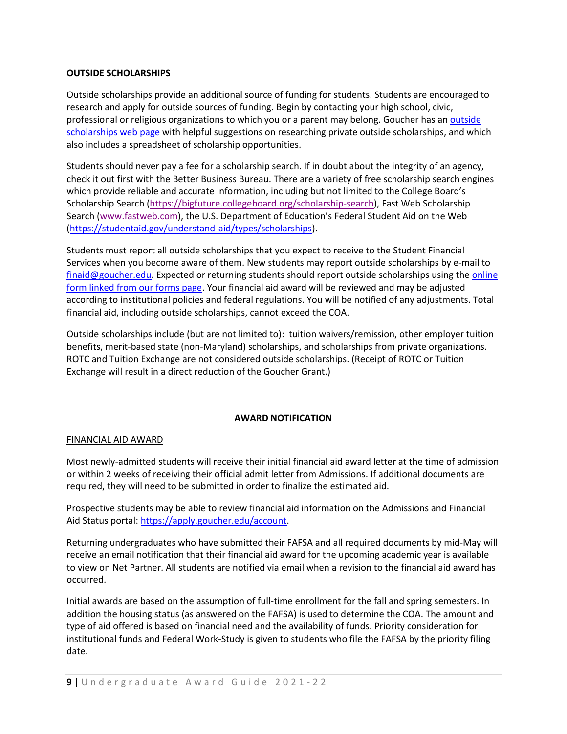## **OUTSIDE SCHOLARSHIPS**

Outside scholarships provide an additional source of funding for students. Students are encouraged to research and apply for outside sources of funding. Begin by contacting your high school, civic, professional or religious organizations to which you or a parent may belong. Goucher has an outside [scholarships web page](http://www.goucher.edu/financial-aid/types-of-financial-aid/outside-scholarships) with helpful suggestions on researching private outside scholarships, and which also includes a spreadsheet of scholarship opportunities.

Students should never pay a fee for a scholarship search. If in doubt about the integrity of an agency, check it out first with the Better Business Bureau. There are a variety of free scholarship search engines which provide reliable and accurate information, including but not limited to the College Board's Scholarship Search [\(https://bigfuture.collegeboard.org/scholarship-search\)](https://bigfuture.collegeboard.org/scholarship-search), Fast Web Scholarship Search [\(www.fastweb.com](http://www.fastweb.com/)), the U.S. Department of Education's Federal Student Aid on the Web [\(https://studentaid.gov/understand-aid/types/scholarships\)](https://studentaid.gov/understand-aid/types/scholarships).

Students must report all outside scholarships that you expect to receive to the Student Financial Services when you become aware of them. New students may report outside scholarships by e-mail to [finaid@goucher.edu.](mailto:finaid@goucher.edu) Expected or returning students should report outside scholarships using the online [form linked from our forms page.](http://www.goucher.edu/financial-aid/forms-and-resources/forms) Your financial aid award will be reviewed and may be adjusted according to institutional policies and federal regulations. You will be notified of any adjustments. Total financial aid, including outside scholarships, cannot exceed the COA.

Outside scholarships include (but are not limited to): tuition waivers/remission, other employer tuition benefits, merit-based state (non-Maryland) scholarships, and scholarships from private organizations. ROTC and Tuition Exchange are not considered outside scholarships. (Receipt of ROTC or Tuition Exchange will result in a direct reduction of the Goucher Grant.)

## **AWARD NOTIFICATION**

## FINANCIAL AID AWARD

Most newly-admitted students will receive their initial financial aid award letter at the time of admission or within 2 weeks of receiving their official admit letter from Admissions. If additional documents are required, they will need to be submitted in order to finalize the estimated aid.

Prospective students may be able to review financial aid information on the Admissions and Financial Aid Status portal[: https://apply.goucher.edu/account.](https://apply.goucher.edu/account)

Returning undergraduates who have submitted their FAFSA and all required documents by mid-May will receive an email notification that their financial aid award for the upcoming academic year is available to view on Net Partner. All students are notified via email when a revision to the financial aid award has occurred.

Initial awards are based on the assumption of full-time enrollment for the fall and spring semesters. In addition the housing status (as answered on the FAFSA) is used to determine the COA. The amount and type of aid offered is based on financial need and the availability of funds. Priority consideration for institutional funds and Federal Work-Study is given to students who file the FAFSA by the priority filing date.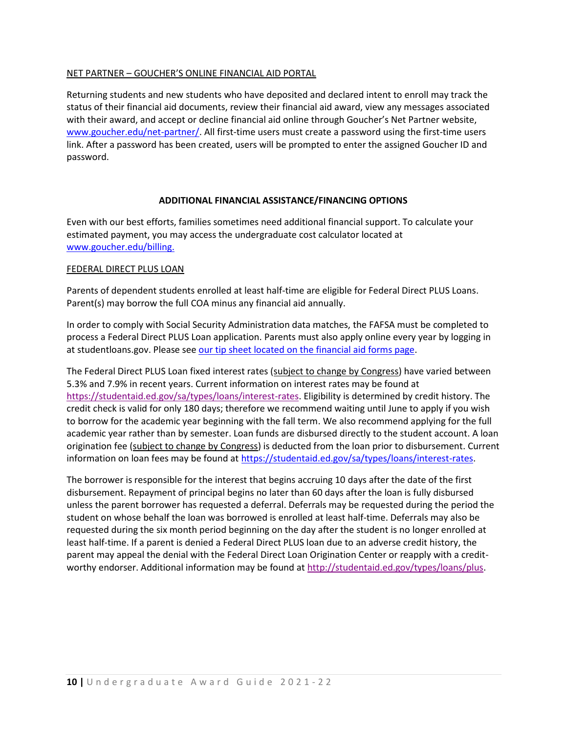## NET PARTNER – GOUCHER'S ONLINE FINANCIAL AID PORTAL

Returning students and new students who have deposited and declared intent to enroll may track the status of their financial aid documents, review their financial aid award, view any messages associated with their award, and accept or decline financial aid online through Goucher's Net Partner website, [www.goucher.edu/net-partner/.](http://www.goucher.edu/net-partner/) All first-time users must create a password using the first-time users link. After a password has been created, users will be prompted to enter the assigned Goucher ID and password.

#### **ADDITIONAL FINANCIAL ASSISTANCE/FINANCING OPTIONS**

Even with our best efforts, families sometimes need additional financial support. To calculate your estimated payment, you may access the undergraduate cost calculator located at [www.goucher.edu/billing.](http://www.goucher.edu/billing)

#### FEDERAL DIRECT PLUS LOAN

Parents of dependent students enrolled at least half-time are eligible for Federal Direct PLUS Loans. Parent(s) may borrow the full COA minus any financial aid annually.

In order to comply with Social Security Administration data matches, the FAFSA must be completed to process a Federal Direct PLUS Loan application. Parents must also apply online every year by logging in at studentloans.gov. Please se[e our tip sheet located on the financial aid forms page.](http://www.goucher.edu/financial-aid/financial-aid-forms)

The Federal Direct PLUS Loan fixed interest rates (subject to change by Congress) have varied between 5.3% and 7.9% in recent years. Current information on interest rates may be found at [https://studentaid.ed.gov/sa/types/loans/interest-rates.](https://studentaid.ed.gov/sa/types/loans/interest-rates) Eligibility is determined by credit history. The credit check is valid for only 180 days; therefore we recommend waiting until June to apply if you wish to borrow for the academic year beginning with the fall term. We also recommend applying for the full academic year rather than by semester. Loan funds are disbursed directly to the student account. A loan origination fee (subject to change by Congress) is deducted from the loan prior to disbursement. Current information on loan fees may be found at [https://studentaid.ed.gov/sa/types/loans/interest-rates.](https://studentaid.ed.gov/sa/types/loans/interest-rates)

The borrower is responsible for the interest that begins accruing 10 days after the date of the first disbursement. Repayment of principal begins no later than 60 days after the loan is fully disbursed unless the parent borrower has requested a deferral. Deferrals may be requested during the period the student on whose behalf the loan was borrowed is enrolled at least half-time. Deferrals may also be requested during the six month period beginning on the day after the student is no longer enrolled at least half-time. If a parent is denied a Federal Direct PLUS loan due to an adverse credit history, the parent may appeal the denial with the Federal Direct Loan Origination Center or reapply with a creditworthy endorser. Additional information may be found at [http://studentaid.ed.gov/types/loans/plus.](http://studentaid.ed.gov/types/loans/plus)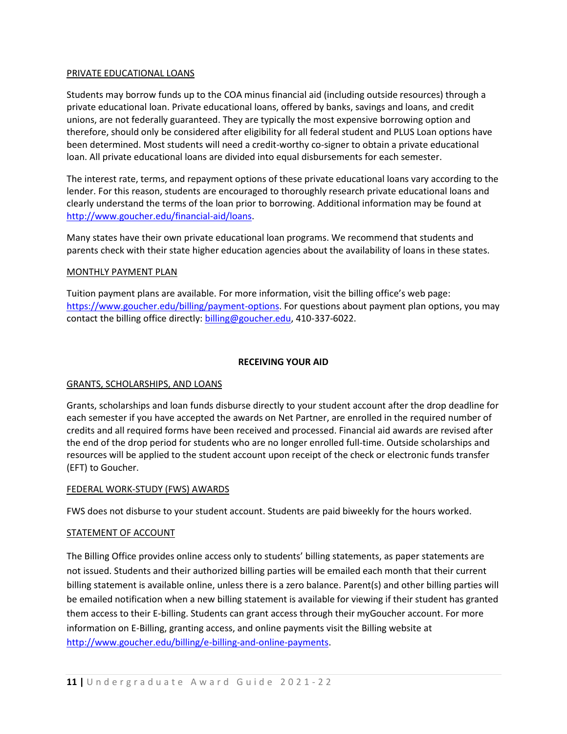#### PRIVATE EDUCATIONAL LOANS

Students may borrow funds up to the COA minus financial aid (including outside resources) through a private educational loan. Private educational loans, offered by banks, savings and loans, and credit unions, are not federally guaranteed. They are typically the most expensive borrowing option and therefore, should only be considered after eligibility for all federal student and PLUS Loan options have been determined. Most students will need a credit-worthy co-signer to obtain a private educational loan. All private educational loans are divided into equal disbursements for each semester.

The interest rate, terms, and repayment options of these private educational loans vary according to the lender. For this reason, students are encouraged to thoroughly research private educational loans and clearly understand the terms of the loan prior to borrowing. Additional information may be found at [http://www.goucher.edu/financial-aid/loans.](http://www.goucher.edu/financial-aid/loans)

Many states have their own private educational loan programs. We recommend that students and parents check with their state higher education agencies about the availability of loans in these states.

## MONTHLY PAYMENT PLAN

Tuition payment plans are available. For more information, visit the billing office's web page: [https://www.goucher.edu/billing/payment-options.](https://www.goucher.edu/billing/payment-options) For questions about payment plan options, you may contact the billing office directly: [billing@goucher.edu,](mailto:billing@goucher.edu) 410-337-6022.

#### **RECEIVING YOUR AID**

#### GRANTS, SCHOLARSHIPS, AND LOANS

Grants, scholarships and loan funds disburse directly to your student account after the drop deadline for each semester if you have accepted the awards on Net Partner, are enrolled in the required number of credits and all required forms have been received and processed. Financial aid awards are revised after the end of the drop period for students who are no longer enrolled full-time. Outside scholarships and resources will be applied to the student account upon receipt of the check or electronic funds transfer (EFT) to Goucher.

#### FEDERAL WORK-STUDY (FWS) AWARDS

FWS does not disburse to your student account. Students are paid biweekly for the hours worked.

#### STATEMENT OF ACCOUNT

The Billing Office provides online access only to students' billing statements, as paper statements are not issued. Students and their authorized billing parties will be emailed each month that their current billing statement is available online, unless there is a zero balance. Parent(s) and other billing parties will be emailed notification when a new billing statement is available for viewing if their student has granted them access to their E-billing. Students can grant access through their myGoucher account. For more information on E-Billing, granting access, and online payments visit the Billing website at [http://www.goucher.edu/billing/e-billing-and-online-payments.](http://www.goucher.edu/billing/e-billing-and-online-payments)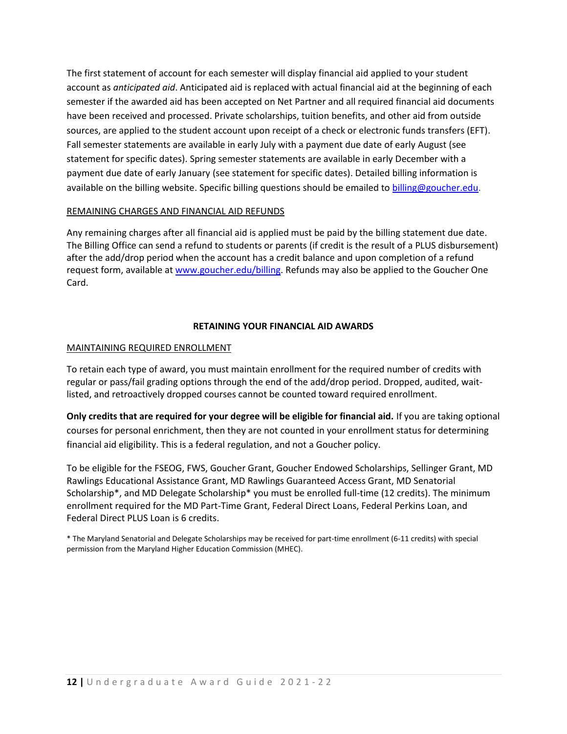The first statement of account for each semester will display financial aid applied to your student account as *anticipated aid*. Anticipated aid is replaced with actual financial aid at the beginning of each semester if the awarded aid has been accepted on Net Partner and all required financial aid documents have been received and processed. Private scholarships, tuition benefits, and other aid from outside sources, are applied to the student account upon receipt of a check or electronic funds transfers (EFT). Fall semester statements are available in early July with a payment due date of early August (see statement for specific dates). Spring semester statements are available in early December with a payment due date of early January (see statement for specific dates). Detailed billing information is available on the billing website. Specific billing questions should be emailed to [billing@goucher.edu.](mailto:billing@goucher.edu)

## REMAINING CHARGES AND FINANCIAL AID REFUNDS

Any remaining charges after all financial aid is applied must be paid by the billing statement due date. The Billing Office can send a refund to students or parents (if credit is the result of a PLUS disbursement) after the add/drop period when the account has a credit balance and upon completion of a refund request form, available at [www.goucher.edu/billing.](http://www.goucher.edu/billing) Refunds may also be applied to the Goucher One Card.

## **RETAINING YOUR FINANCIAL AID AWARDS**

## MAINTAINING REQUIRED ENROLLMENT

To retain each type of award, you must maintain enrollment for the required number of credits with regular or pass/fail grading options through the end of the add/drop period. Dropped, audited, waitlisted, and retroactively dropped courses cannot be counted toward required enrollment.

**Only credits that are required for your degree will be eligible for financial aid.** If you are taking optional courses for personal enrichment, then they are not counted in your enrollment status for determining financial aid eligibility. This is a federal regulation, and not a Goucher policy.

To be eligible for the FSEOG, FWS, Goucher Grant, Goucher Endowed Scholarships, Sellinger Grant, MD Rawlings Educational Assistance Grant, MD Rawlings Guaranteed Access Grant, MD Senatorial Scholarship\*, and MD Delegate Scholarship\* you must be enrolled full-time (12 credits). The minimum enrollment required for the MD Part-Time Grant, Federal Direct Loans, Federal Perkins Loan, and Federal Direct PLUS Loan is 6 credits.

\* The Maryland Senatorial and Delegate Scholarships may be received for part-time enrollment (6-11 credits) with special permission from the Maryland Higher Education Commission (MHEC).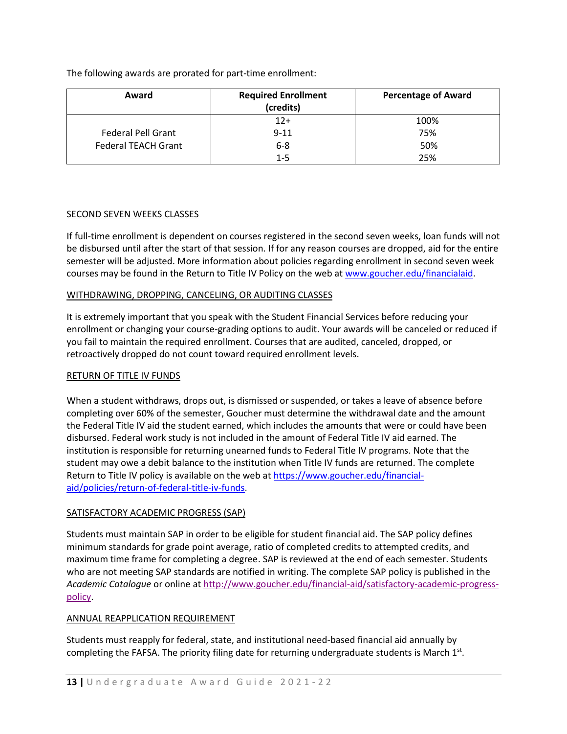The following awards are prorated for part-time enrollment:

| Award                      | <b>Required Enrollment</b><br>(credits) | <b>Percentage of Award</b> |
|----------------------------|-----------------------------------------|----------------------------|
|                            | $12+$                                   | 100%                       |
| <b>Federal Pell Grant</b>  | $9 - 11$                                | 75%                        |
| <b>Federal TEACH Grant</b> | $6 - 8$                                 | 50%                        |
|                            | 1-5                                     | 25%                        |

## SECOND SEVEN WEEKS CLASSES

If full-time enrollment is dependent on courses registered in the second seven weeks, loan funds will not be disbursed until after the start of that session. If for any reason courses are dropped, aid for the entire semester will be adjusted. More information about policies regarding enrollment in second seven week courses may be found in the Return to Title IV Policy on the web at [www.goucher.edu/financialaid.](https://www.goucher.edu/financial-aid/)

## WITHDRAWING, DROPPING, CANCELING, OR AUDITING CLASSES

It is extremely important that you speak with the Student Financial Services before reducing your enrollment or changing your course-grading options to audit. Your awards will be canceled or reduced if you fail to maintain the required enrollment. Courses that are audited, canceled, dropped, or retroactively dropped do not count toward required enrollment levels.

## RETURN OF TITLE IV FUNDS

When a student withdraws, drops out, is dismissed or suspended, or takes a leave of absence before completing over 60% of the semester, Goucher must determine the withdrawal date and the amount the Federal Title IV aid the student earned, which includes the amounts that were or could have been disbursed. Federal work study is not included in the amount of Federal Title IV aid earned. The institution is responsible for returning unearned funds to Federal Title IV programs. Note that the student may owe a debit balance to the institution when Title IV funds are returned. The complete Return to Title IV policy is available on the web at [https://www.goucher.edu/financial](https://www.goucher.edu/financial-aid/policies/return-of-federal-title-iv-funds)[aid/policies/return-of-federal-title-iv-funds.](https://www.goucher.edu/financial-aid/policies/return-of-federal-title-iv-funds)

## SATISFACTORY ACADEMIC PROGRESS (SAP)

Students must maintain SAP in order to be eligible for student financial aid. The SAP policy defines minimum standards for grade point average, ratio of completed credits to attempted credits, and maximum time frame for completing a degree. SAP is reviewed at the end of each semester. Students who are not meeting SAP standards are notified in writing. The complete SAP policy is published in the *Academic Catalogue* or online a[t http://www.goucher.edu/financial-aid/satisfactory-academic-progress](http://www.goucher.edu/financial-aid/satisfactory-academic-progress-policy)[policy.](http://www.goucher.edu/financial-aid/satisfactory-academic-progress-policy)

## ANNUAL REAPPLICATION REQUIREMENT

Students must reapply for federal, state, and institutional need-based financial aid annually by completing the FAFSA. The priority filing date for returning undergraduate students is March  $1<sup>st</sup>$ .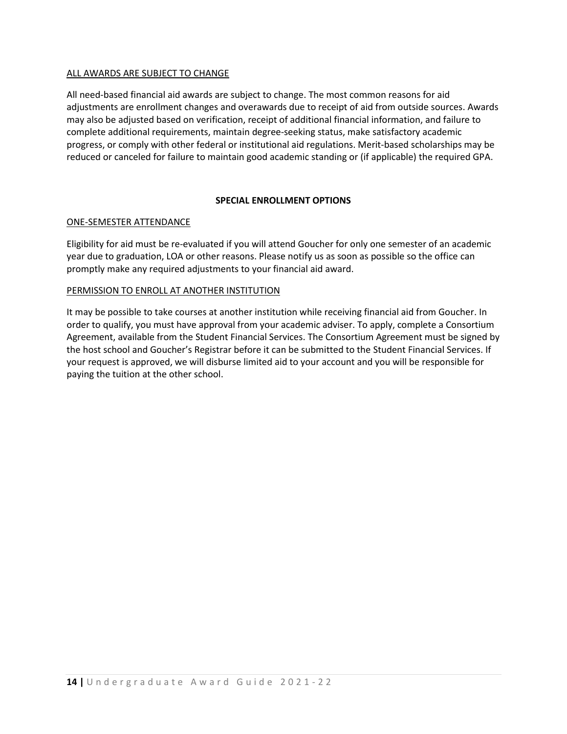### ALL AWARDS ARE SUBJECT TO CHANGE

All need-based financial aid awards are subject to change. The most common reasons for aid adjustments are enrollment changes and overawards due to receipt of aid from outside sources. Awards may also be adjusted based on verification, receipt of additional financial information, and failure to complete additional requirements, maintain degree-seeking status, make satisfactory academic progress, or comply with other federal or institutional aid regulations. Merit-based scholarships may be reduced or canceled for failure to maintain good academic standing or (if applicable) the required GPA.

#### **SPECIAL ENROLLMENT OPTIONS**

#### ONE-SEMESTER ATTENDANCE

Eligibility for aid must be re-evaluated if you will attend Goucher for only one semester of an academic year due to graduation, LOA or other reasons. Please notify us as soon as possible so the office can promptly make any required adjustments to your financial aid award.

#### PERMISSION TO ENROLL AT ANOTHER INSTITUTION

It may be possible to take courses at another institution while receiving financial aid from Goucher. In order to qualify, you must have approval from your academic adviser. To apply, complete a Consortium Agreement, available from the Student Financial Services. The Consortium Agreement must be signed by the host school and Goucher's Registrar before it can be submitted to the Student Financial Services. If your request is approved, we will disburse limited aid to your account and you will be responsible for paying the tuition at the other school.